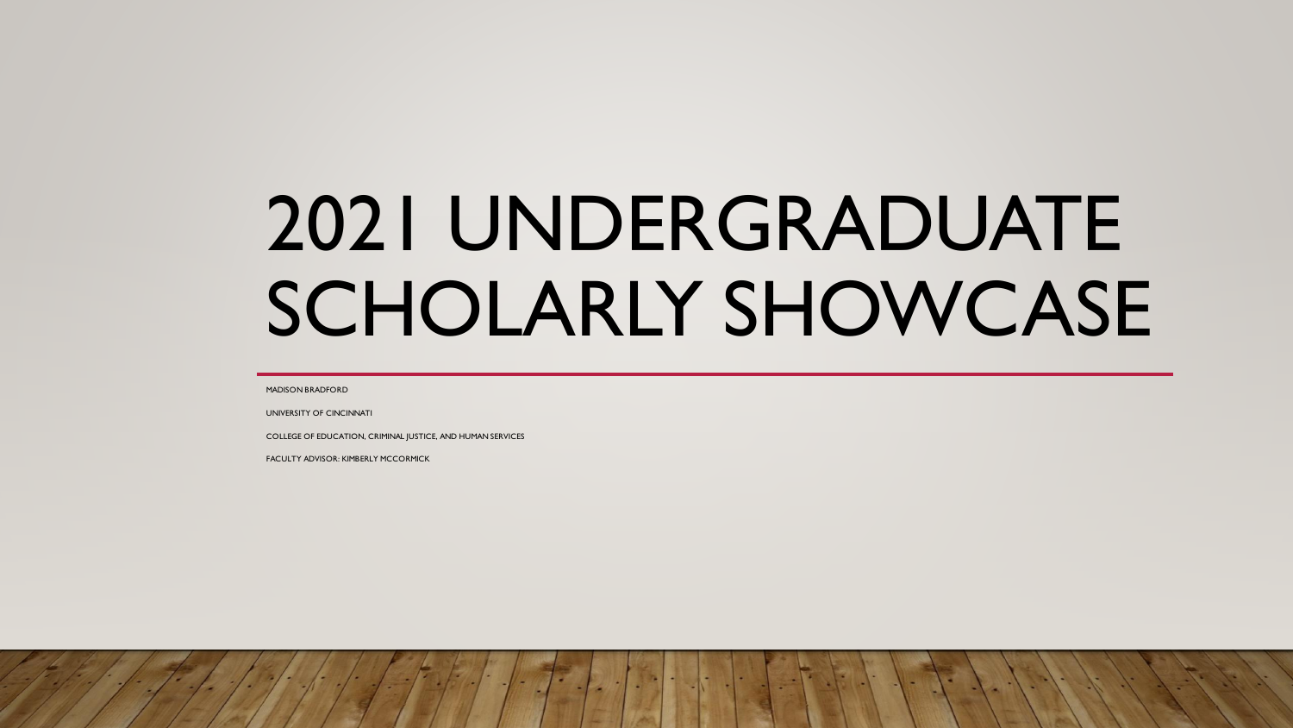# 2021 UNDERGRADUATE SCHOLARLY SHOWCASE

MADISON BRADFORD

UNIVERSITY OF CINCINNATI

COLLEGE OF EDUCATION, CRIMINAL JUSTICE, AND HUMAN SERVICES

FACULTY ADVISOR: KIMBERLY MCCORMICK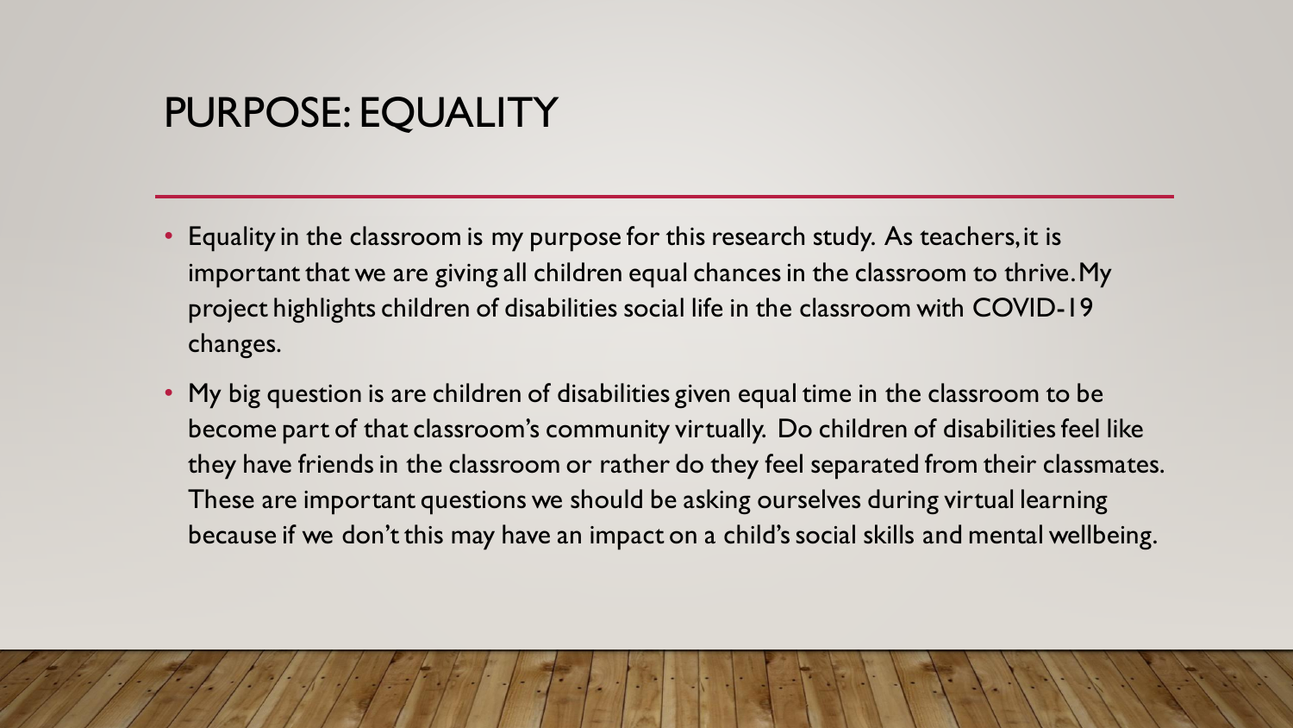# PURPOSE: EQUALITY

- Equality in the classroom is my purpose for this research study. As teachers, it is important that we are giving all children equal chances in the classroom to thrive. My project highlights children of disabilities social life in the classroom with COVID-19 changes.
- My big question is are children of disabilities given equal time in the classroom to be become part of that classroom's community virtually. Do children of disabilities feel like they have friends in the classroom or rather do they feel separated from their classmates. These are important questions we should be asking ourselves during virtual learning because if we don't this may have an impact on a child's social skills and mental wellbeing.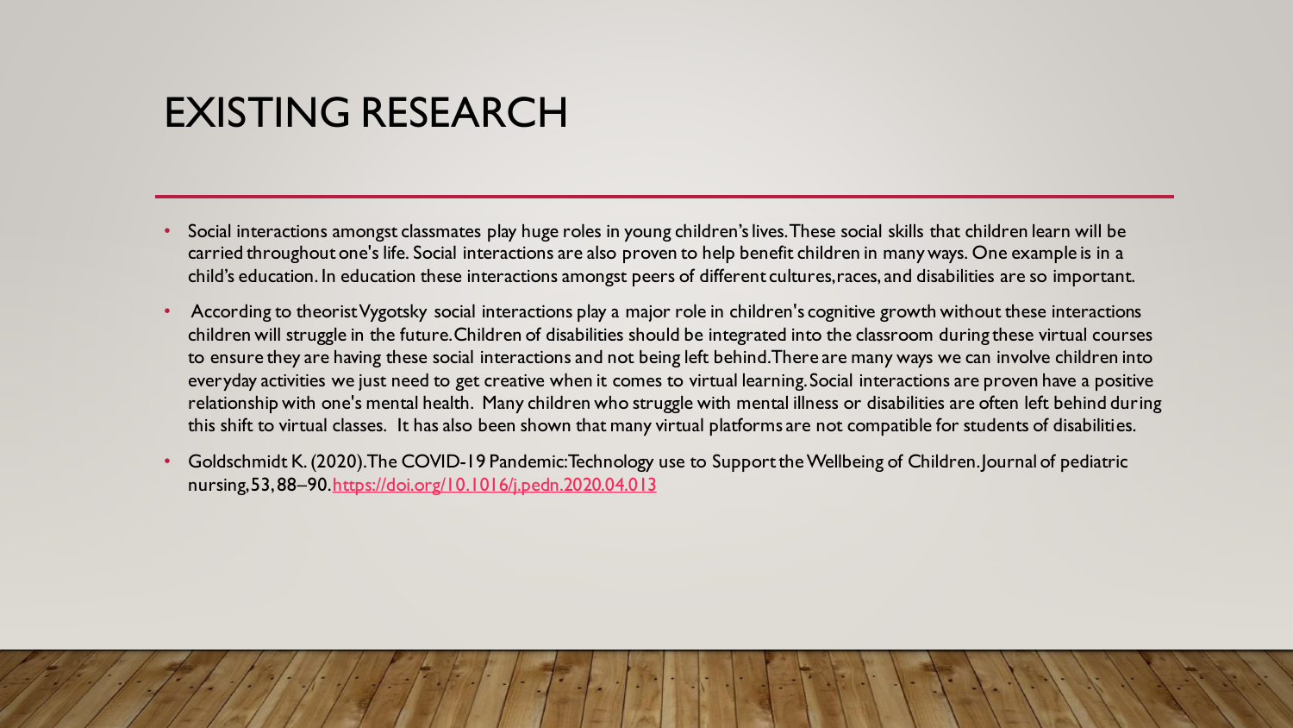## EXISTING RESEARCH

- Social interactions amongst classmates play huge roles in young children's lives. These social skills that children learn will be carried throughout one's life. Social interactions are also proven to help benefit children in many ways. One example is in a child's education. In education these interactions amongst peers of different cultures, races, and disabilities are so important.
- According to theorist Vygotsky social interactions play a major role in children's cognitive growth without these interactions children will struggle in the future. Children of disabilities should be integrated into the classroom during these virtual courses to ensure they are having these social interactions and not being left behind. There are many ways we can involve children into everyday activities we just need to get creative when it comes to virtual learning. Social interactions are proven have a positive relationship with one's mental health. Many children who struggle with mental illness or disabilities are often left behind during this shift to virtual classes. It has also been shown that many virtual platforms are not compatible for students of disabilities.
- Goldschmidt K. (2020). The COVID-19 Pandemic: Technology use to Support theWellbeing of Children.Journal of pediatric nursing,53, 88–90[.https://doi.org/10.1016/j.pedn.2020.04.013](https://doi.org/10.1016/j.pedn.2020.04.013)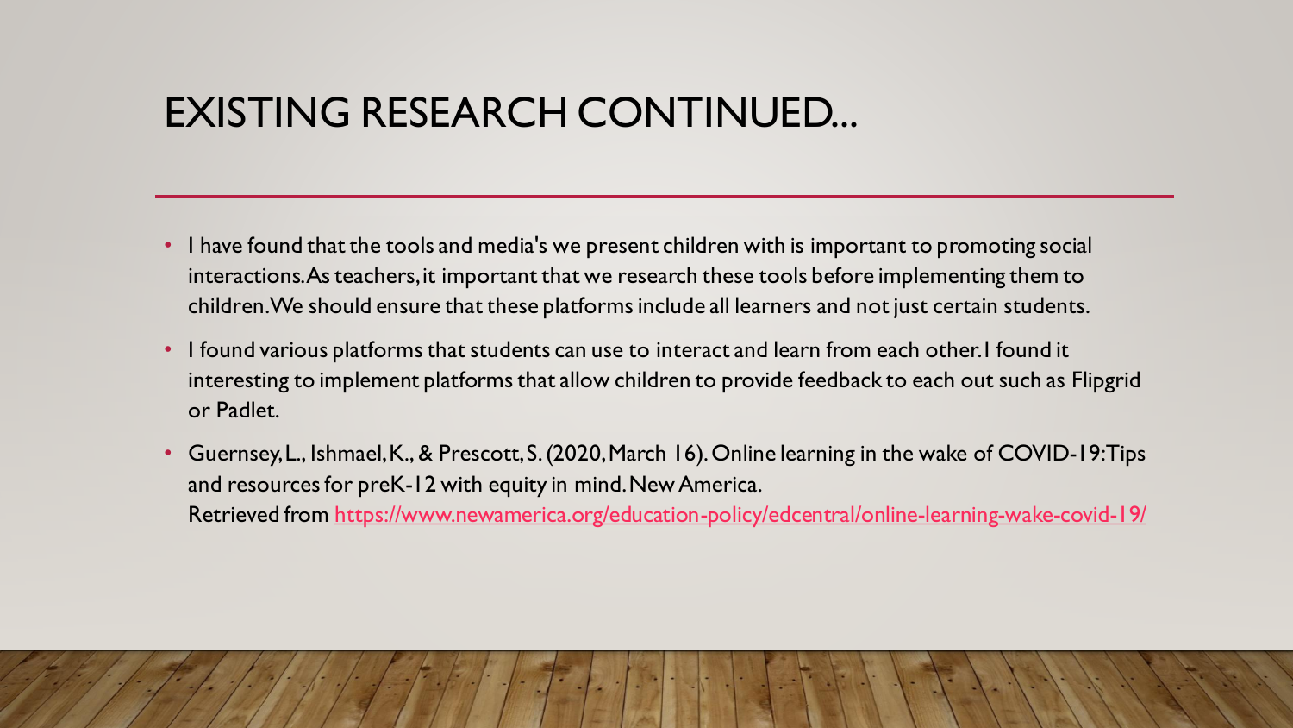## EXISTING RESEARCH CONTINUED...

- I have found that the tools and media's we present children with is important to promoting social interactions. As teachers, it important that we research these tools before implementing them to children. We should ensure that these platforms include all learners and not just certain students.
- I found various platforms that students can use to interact and learn from each other. I found it interesting to implement platforms that allow children to provide feedback to each out such as Flipgrid or Padlet.
- Guernsey, L., Ishmael, K., & Prescott, S. (2020, March 16). Online learning in the wake of COVID-19: Tips and resources for preK-12 with equity in mind. New America. Retrieved from <https://www.newamerica.org/education-policy/edcentral/online-learning-wake-covid-19/>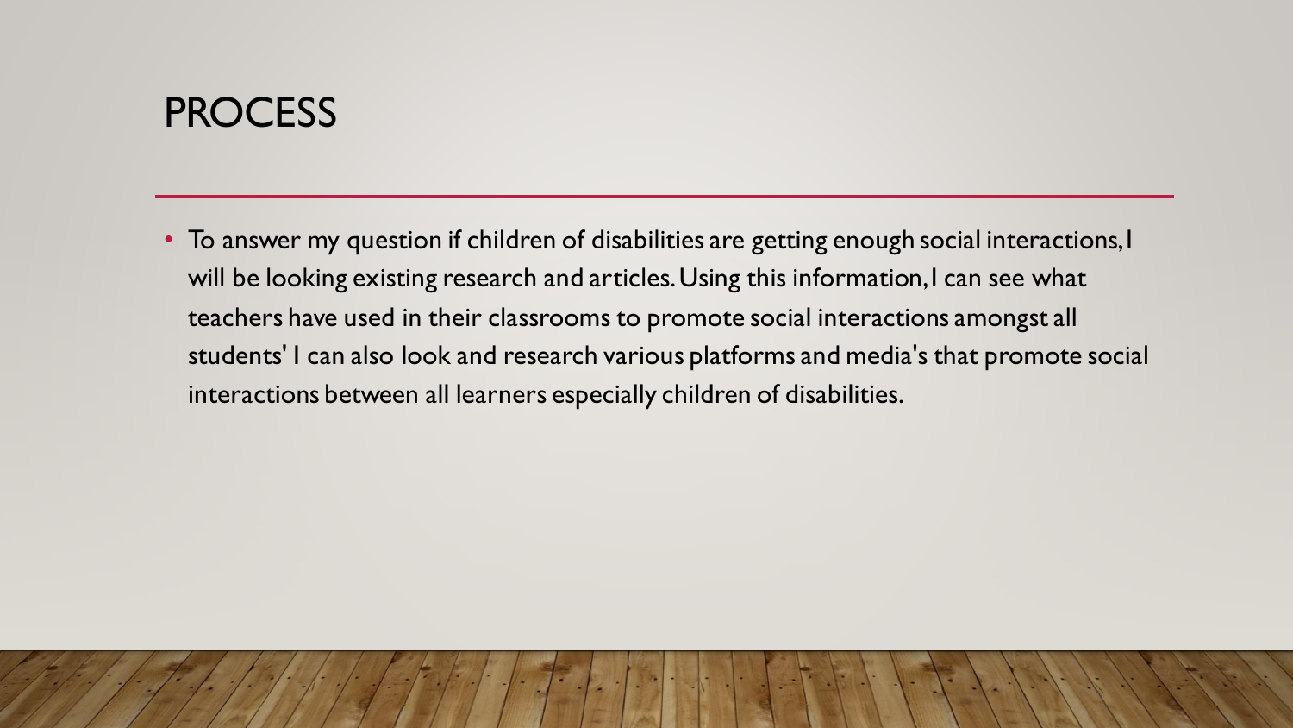#### **PROCESS**

• To answer my question if children of disabilities are getting enough social interactions, I will be looking existing research and articles. Using this information, I can see what teachers have used in their classrooms to promote social interactions amongst all students' I can also look and research various platforms and media's that promote social interactions between all learners especially children of disabilities.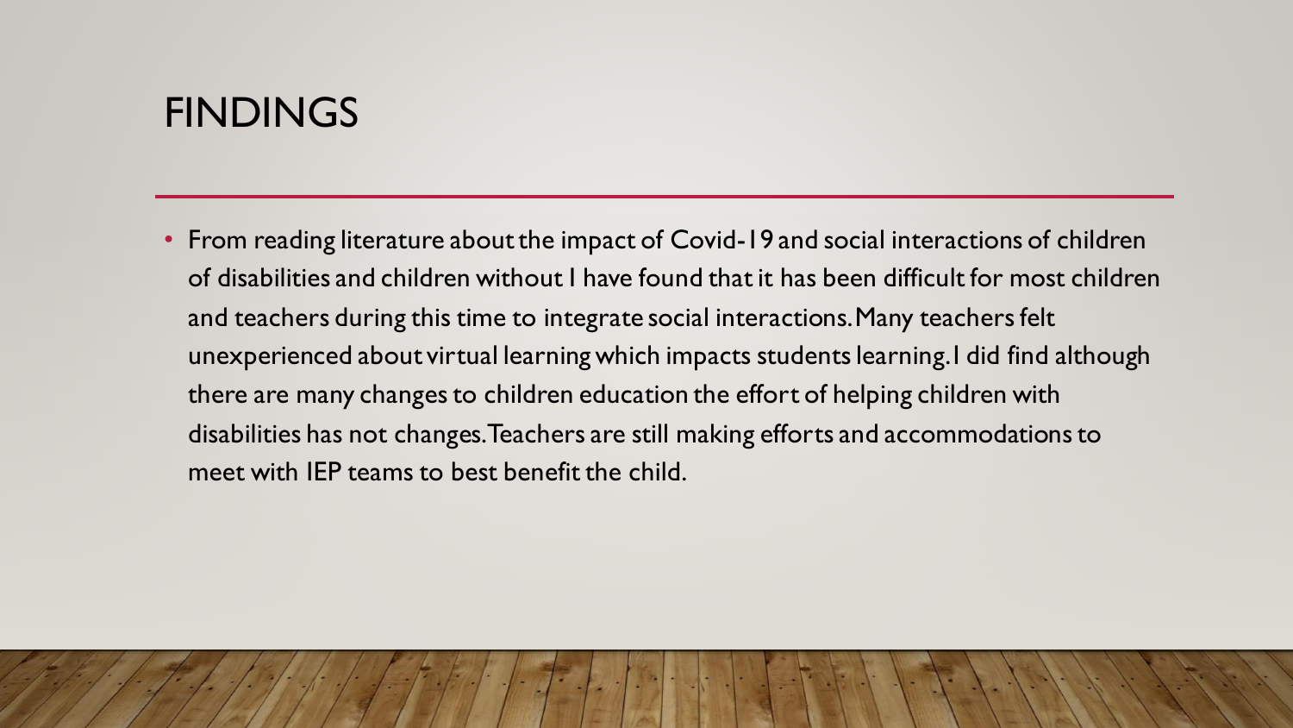#### FINDINGS

• From reading literature about the impact of Covid-19 and social interactions of children of disabilities and children without I have found that it has been difficult for most children and teachers during this time to integrate social interactions. Many teachers felt unexperienced about virtual learning which impacts students learning. I did find although there are many changes to children education the effort of helping children with disabilities has not changes. Teachers are still making efforts and accommodations to meet with IEP teams to best benefit the child.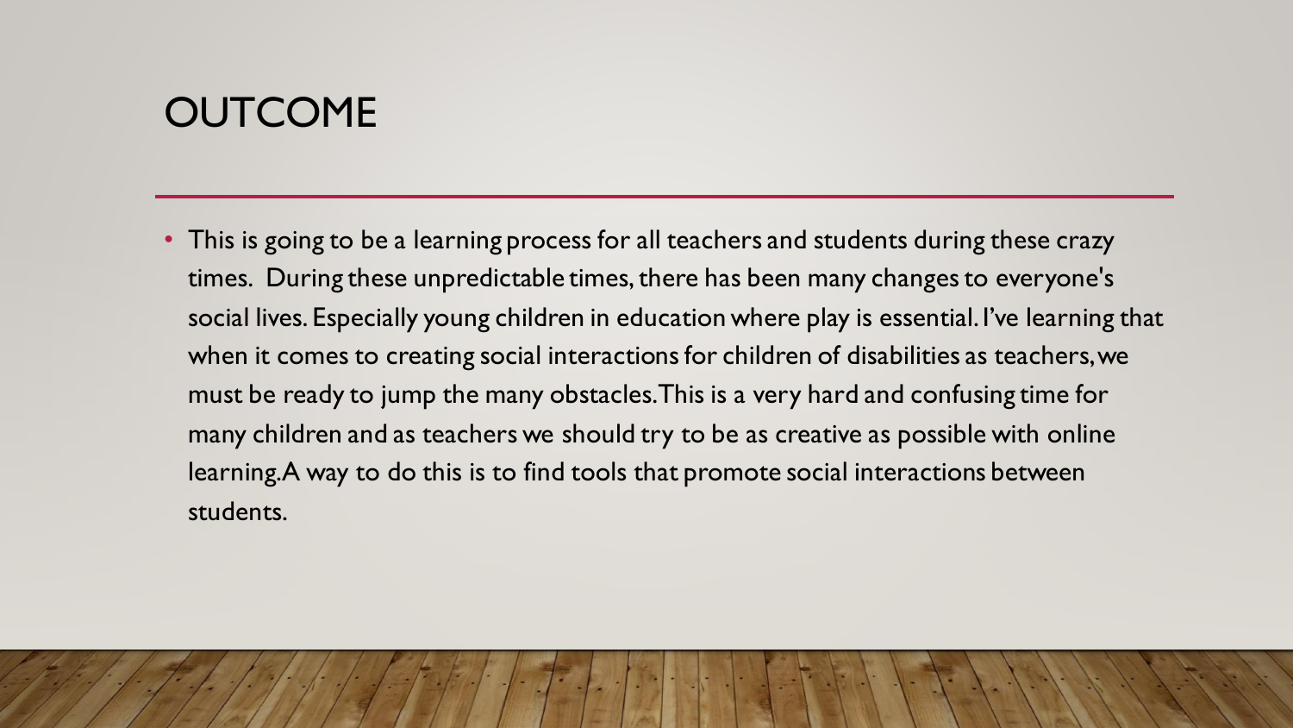# **OUTCOME**

• This is going to be a learning process for all teachers and students during these crazy times. During these unpredictable times, there has been many changes to everyone's social lives. Especially young children in education where play is essential. I've learning that when it comes to creating social interactions for children of disabilities as teachers, we must be ready to jump the many obstacles. This is a very hard and confusing time for many children and as teachers we should try to be as creative as possible with online learning. A way to do this is to find tools that promote social interactions between students.